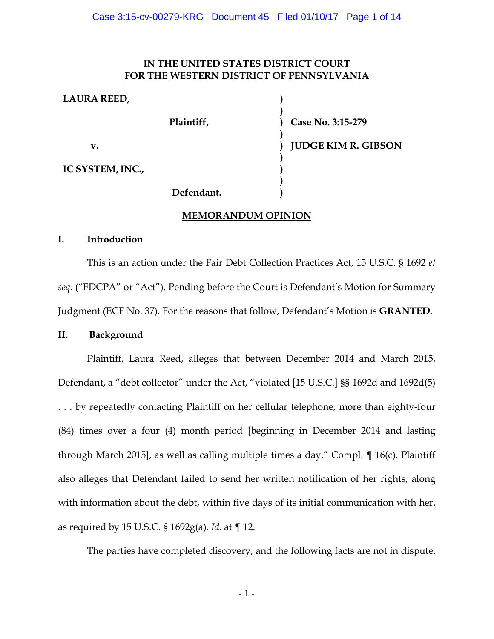### **IN THE UNITED STATES DISTRICT COURT FOR THE WESTERN DISTRICT OF PENNSYLVANIA**

**) )**

| <b>LAURA REED,</b> |                                        |  |
|--------------------|----------------------------------------|--|
|                    | Plaintiff,                             |  |
| v.                 |                                        |  |
| IC SYSTEM, INC.,   |                                        |  |
|                    | $\mathbf{r}$ $\mathbf{r}$ $\mathbf{r}$ |  |

**Case No. 3:15-279**

**JUDGE KIM R. GIBSON**

# **Defendant.**

# **MEMORANDUM OPINION**

# **I. Introduction**

This is an action under the Fair Debt Collection Practices Act, 15 U.S.C. § 1692 *et seq.* ("FDCPA" or "Act"). Pending before the Court is Defendant's Motion for Summary Judgment (ECF No. 37). For the reasons that follow, Defendant's Motion is **GRANTED**.

# **II. Background**

Plaintiff, Laura Reed, alleges that between December 2014 and March 2015, Defendant, a "debt collector" under the Act, "violated [15 U.S.C.] §§ 1692d and 1692d(5) . . . by repeatedly contacting Plaintiff on her cellular telephone, more than eighty-four (84) times over a four (4) month period [beginning in December 2014 and lasting through March 2015], as well as calling multiple times a day." Compl. ¶ 16(c). Plaintiff also alleges that Defendant failed to send her written notification of her rights, along with information about the debt, within five days of its initial communication with her, as required by 15 U.S.C. § 1692g(a). *Id.* at ¶ 12.

The parties have completed discovery, and the following facts are not in dispute.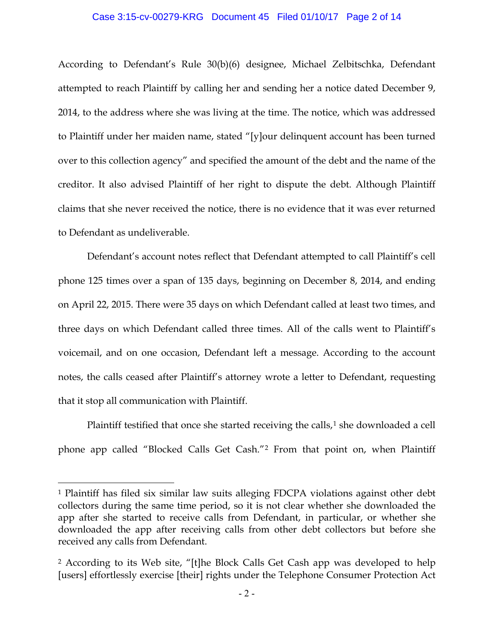#### Case 3:15-cv-00279-KRG Document 45 Filed 01/10/17 Page 2 of 14

According to Defendant's Rule 30(b)(6) designee, Michael Zelbitschka, Defendant attempted to reach Plaintiff by calling her and sending her a notice dated December 9, 2014, to the address where she was living at the time. The notice, which was addressed to Plaintiff under her maiden name, stated "[y]our delinquent account has been turned over to this collection agency" and specified the amount of the debt and the name of the creditor. It also advised Plaintiff of her right to dispute the debt. Although Plaintiff claims that she never received the notice, there is no evidence that it was ever returned to Defendant as undeliverable.

Defendant's account notes reflect that Defendant attempted to call Plaintiff's cell phone 125 times over a span of 135 days, beginning on December 8, 2014, and ending on April 22, 2015. There were 35 days on which Defendant called at least two times, and three days on which Defendant called three times. All of the calls went to Plaintiff's voicemail, and on one occasion, Defendant left a message. According to the account notes, the calls ceased after Plaintiff's attorney wrote a letter to Defendant, requesting that it stop all communication with Plaintiff.

Plaintiff testified that once she started receiving the calls,<sup>[1](#page-1-0)</sup> she downloaded a cell phone app called "Blocked Calls Get Cash."[2](#page-1-1) From that point on, when Plaintiff

 $\overline{a}$ 

<span id="page-1-0"></span><sup>1</sup> Plaintiff has filed six similar law suits alleging FDCPA violations against other debt collectors during the same time period, so it is not clear whether she downloaded the app after she started to receive calls from Defendant, in particular, or whether she downloaded the app after receiving calls from other debt collectors but before she received any calls from Defendant.

<span id="page-1-1"></span><sup>2</sup> According to its Web site, "[t]he Block Calls Get Cash app was developed to help [users] effortlessly exercise [their] rights under the Telephone Consumer Protection Act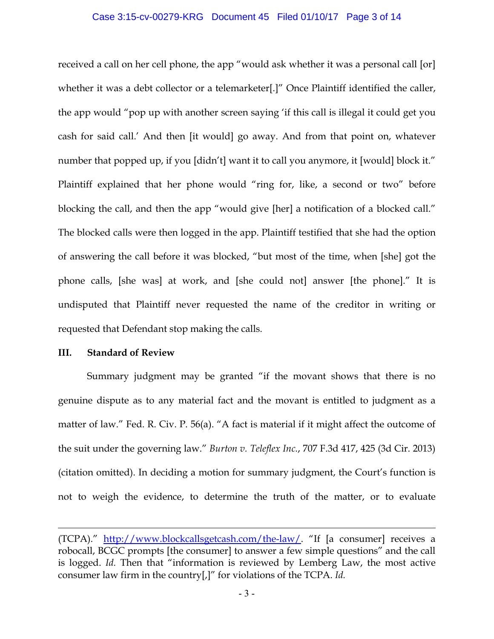#### Case 3:15-cv-00279-KRG Document 45 Filed 01/10/17 Page 3 of 14

received a call on her cell phone, the app "would ask whether it was a personal call [or] whether it was a debt collector or a telemarketer[.]" Once Plaintiff identified the caller, the app would "pop up with another screen saying 'if this call is illegal it could get you cash for said call.' And then [it would] go away. And from that point on, whatever number that popped up, if you [didn't] want it to call you anymore, it [would] block it." Plaintiff explained that her phone would "ring for, like, a second or two" before blocking the call, and then the app "would give [her] a notification of a blocked call." The blocked calls were then logged in the app. Plaintiff testified that she had the option of answering the call before it was blocked, "but most of the time, when [she] got the phone calls, [she was] at work, and [she could not] answer [the phone]." It is undisputed that Plaintiff never requested the name of the creditor in writing or requested that Defendant stop making the calls.

### **III. Standard of Review**

 $\overline{a}$ 

Summary judgment may be granted "if the movant shows that there is no genuine dispute as to any material fact and the movant is entitled to judgment as a matter of law." Fed. R. Civ. P. 56(a). "A fact is material if it might affect the outcome of the suit under the governing law." *Burton v. Teleflex Inc.*, 707 F.3d 417, 425 (3d Cir. 2013) (citation omitted). In deciding a motion for summary judgment, the Court's function is not to weigh the evidence, to determine the truth of the matter, or to evaluate

<sup>(</sup>TCPA)." [http://www.blockcallsgetcash.com/the-law/.](http://www.blockcallsgetcash.com/the-law/) "If [a consumer] receives a robocall, BCGC prompts [the consumer] to answer a few simple questions" and the call is logged. *Id.* Then that "information is reviewed by Lemberg Law, the most active consumer law firm in the country[,]" for violations of the TCPA. *Id.*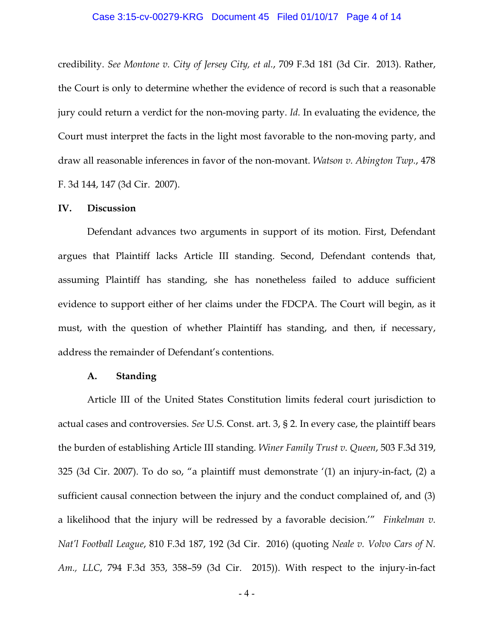#### Case 3:15-cv-00279-KRG Document 45 Filed 01/10/17 Page 4 of 14

credibility. *See Montone v. City of Jersey City, et al.*, 709 F.3d 181 (3d Cir. 2013). Rather, the Court is only to determine whether the evidence of record is such that a reasonable jury could return a verdict for the non-moving party. *Id.* In evaluating the evidence, the Court must interpret the facts in the light most favorable to the non-moving party, and draw all reasonable inferences in favor of the non-movant. *Watson v. Abington Twp.*, 478 F. 3d 144, 147 (3d Cir. 2007).

#### **IV. Discussion**

Defendant advances two arguments in support of its motion. First, Defendant argues that Plaintiff lacks Article III standing. Second, Defendant contends that, assuming Plaintiff has standing, she has nonetheless failed to adduce sufficient evidence to support either of her claims under the FDCPA. The Court will begin, as it must, with the question of whether Plaintiff has standing, and then, if necessary, address the remainder of Defendant's contentions.

#### **A. Standing**

Article III of the United States Constitution limits federal court jurisdiction to actual cases and controversies. *See* U.S. Const. art. 3, § 2. In every case, the plaintiff bears the burden of establishing Article III standing. *Winer Family Trust v. Queen*, 503 F.3d 319, 325 (3d Cir. 2007). To do so, "a plaintiff must demonstrate '(1) an injury-in-fact, (2) a sufficient causal connection between the injury and the conduct complained of, and (3) a likelihood that the injury will be redressed by a favorable decision.'" *Finkelman v. Nat'l Football League*, 810 F.3d 187, 192 (3d Cir. 2016) (quoting *Neale v. Volvo Cars of N. Am., LLC*, 794 F.3d 353, 358–59 (3d Cir. 2015)). With respect to the injury-in-fact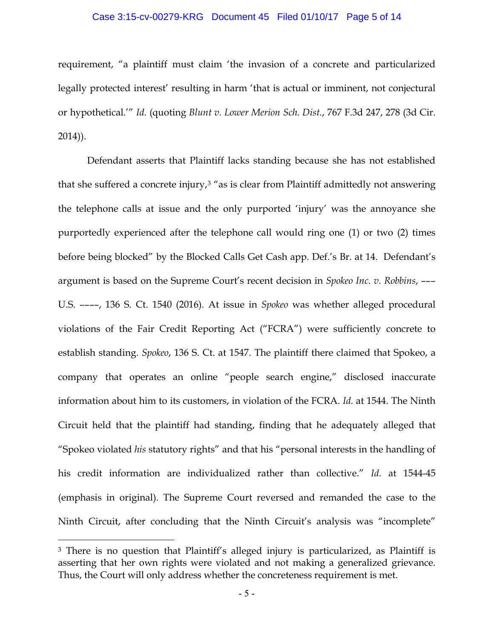#### Case 3:15-cv-00279-KRG Document 45 Filed 01/10/17 Page 5 of 14

requirement, "a plaintiff must claim 'the invasion of a concrete and particularized legally protected interest' resulting in harm 'that is actual or imminent, not conjectural or hypothetical.'" *Id.* (quoting *Blunt v. Lower Merion Sch. Dist.*, 767 F.3d 247, 278 (3d Cir. 2014)).

Defendant asserts that Plaintiff lacks standing because she has not established that she suffered a concrete injury, $3$  "as is clear from Plaintiff admittedly not answering the telephone calls at issue and the only purported 'injury' was the annoyance she purportedly experienced after the telephone call would ring one (1) or two (2) times before being blocked" by the Blocked Calls Get Cash app. Def.'s Br. at 14. Defendant's argument is based on the Supreme Court's recent decision in *Spokeo Inc. v. Robbins*, ––– U.S. ––––, 136 S. Ct. 1540 (2016). At issue in *Spokeo* was whether alleged procedural violations of the Fair Credit Reporting Act ("FCRA") were sufficiently concrete to establish standing. *Spokeo*, 136 S. Ct. at 1547. The plaintiff there claimed that Spokeo, a company that operates an online "people search engine," disclosed inaccurate information about him to its customers, in violation of the FCRA. *Id.* at 1544. The Ninth Circuit held that the plaintiff had standing, finding that he adequately alleged that "Spokeo violated *his* statutory rights" and that his "personal interests in the handling of his credit information are individualized rather than collective." *Id.* at 1544-45 (emphasis in original). The Supreme Court reversed and remanded the case to the Ninth Circuit, after concluding that the Ninth Circuit's analysis was "incomplete"

 $\overline{a}$ 

<span id="page-4-0"></span><sup>3</sup> There is no question that Plaintiff's alleged injury is particularized, as Plaintiff is asserting that her own rights were violated and not making a generalized grievance. Thus, the Court will only address whether the concreteness requirement is met.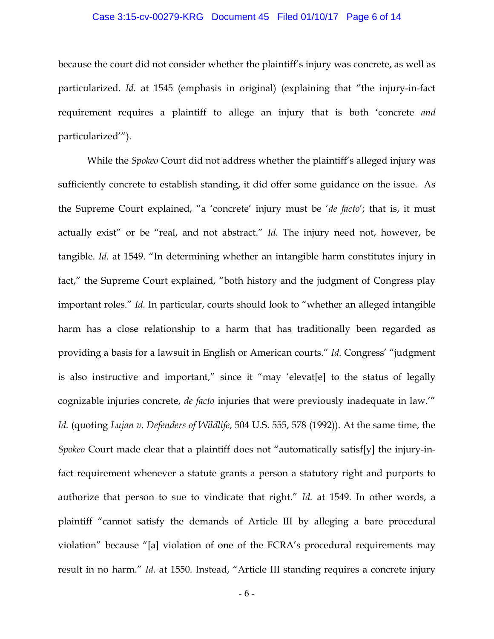#### Case 3:15-cv-00279-KRG Document 45 Filed 01/10/17 Page 6 of 14

because the court did not consider whether the plaintiff's injury was concrete, as well as particularized. *Id.* at 1545 (emphasis in original) (explaining that "the injury-in-fact requirement requires a plaintiff to allege an injury that is both 'concrete *and*  particularized'").

While the *Spokeo* Court did not address whether the plaintiff's alleged injury was sufficiently concrete to establish standing, it did offer some guidance on the issue. As the Supreme Court explained, "a 'concrete' injury must be '*de facto*'; that is, it must actually exist" or be "real, and not abstract." *Id.* The injury need not, however, be tangible. *Id.* at 1549. "In determining whether an intangible harm constitutes injury in fact," the Supreme Court explained, "both history and the judgment of Congress play important roles." *Id.* In particular, courts should look to "whether an alleged intangible harm has a close relationship to a harm that has traditionally been regarded as providing a basis for a lawsuit in English or American courts." *Id.* Congress' "judgment is also instructive and important," since it "may 'elevat[e] to the status of legally cognizable injuries concrete, *de facto* injuries that were previously inadequate in law.'" *Id.* (quoting *Lujan v. Defenders of Wildlife*, 504 U.S. 555, 578 (1992)). At the same time, the *Spokeo* Court made clear that a plaintiff does not "automatically satisf[y] the injury-infact requirement whenever a statute grants a person a statutory right and purports to authorize that person to sue to vindicate that right." *Id.* at 1549. In other words, a plaintiff "cannot satisfy the demands of Article III by alleging a bare procedural violation" because "[a] violation of one of the FCRA's procedural requirements may result in no harm." *Id.* at 1550. Instead, "Article III standing requires a concrete injury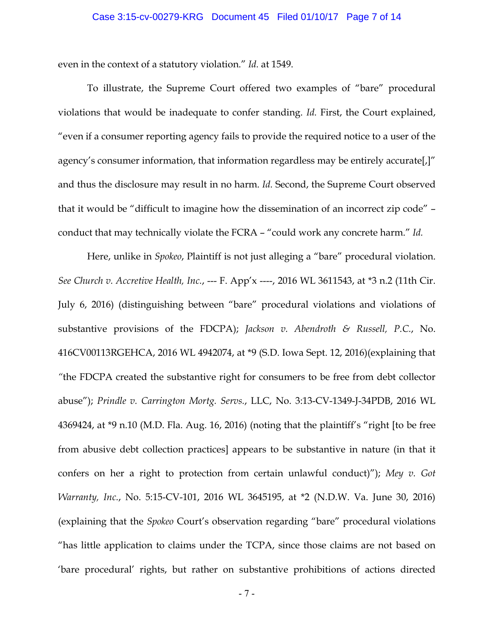even in the context of a statutory violation." *Id.* at 1549.

To illustrate, the Supreme Court offered two examples of "bare" procedural violations that would be inadequate to confer standing. *Id.* First, the Court explained, "even if a consumer reporting agency fails to provide the required notice to a user of the agency's consumer information, that information regardless may be entirely accurate[,]" and thus the disclosure may result in no harm. *Id.* Second, the Supreme Court observed that it would be "difficult to imagine how the dissemination of an incorrect zip code" – conduct that may technically violate the FCRA – "could work any concrete harm." *Id.*

Here, unlike in *Spokeo*, Plaintiff is not just alleging a "bare" procedural violation. *See Church v. Accretive Health, Inc.*, --- F. App'x ----, 2016 WL 3611543, at \*3 n.2 (11th Cir. July 6, 2016) (distinguishing between "bare" procedural violations and violations of substantive provisions of the FDCPA); *Jackson v. Abendroth & Russell, P.C.*, No. 416CV00113RGEHCA, 2016 WL 4942074, at \*9 (S.D. Iowa Sept. 12, 2016)(explaining that *"*the FDCPA created the substantive right for consumers to be free from debt collector abuse"); *Prindle v. Carrington Mortg. Servs.*, LLC, No. 3:13-CV-1349-J-34PDB, 2016 WL 4369424, at \*9 n.10 (M.D. Fla. Aug. 16, 2016) (noting that the plaintiff's "right [to be free from abusive debt collection practices] appears to be substantive in nature (in that it confers on her a right to protection from certain unlawful conduct)"); *Mey v. Got Warranty, Inc.*, No. 5:15-CV-101, 2016 WL 3645195, at \*2 (N.D.W. Va. June 30, 2016) (explaining that the *Spokeo* Court's observation regarding "bare" procedural violations "has little application to claims under the TCPA, since those claims are not based on 'bare procedural' rights, but rather on substantive prohibitions of actions directed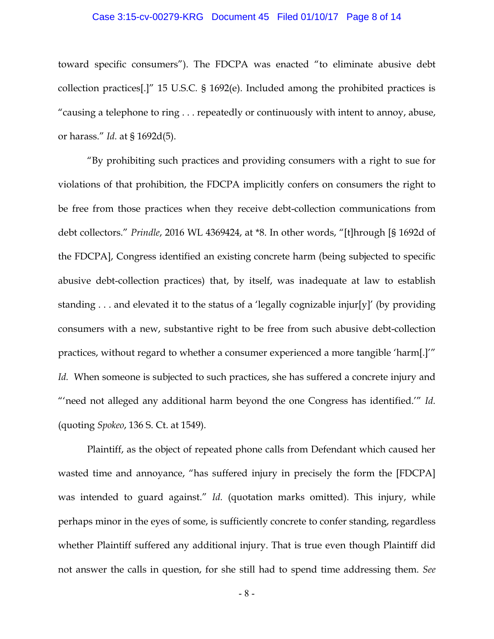#### Case 3:15-cv-00279-KRG Document 45 Filed 01/10/17 Page 8 of 14

toward specific consumers"). The FDCPA was enacted "to eliminate abusive debt collection practices[.]" 15 U.S.C*.* § 1692(e). Included among the prohibited practices is "causing a telephone to ring . . . repeatedly or continuously with intent to annoy, abuse, or harass." *Id.* at § 1692d(5).

"By prohibiting such practices and providing consumers with a right to sue for violations of that prohibition, the FDCPA implicitly confers on consumers the right to be free from those practices when they receive debt-collection communications from debt collectors." *Prindle*, 2016 WL 4369424, at \*8. In other words, "[t]hrough [§ 1692d of the FDCPA], Congress identified an existing concrete harm (being subjected to specific abusive debt-collection practices) that, by itself, was inadequate at law to establish standing . . . and elevated it to the status of a 'legally cognizable injur[y]' (by providing consumers with a new, substantive right to be free from such abusive debt-collection practices, without regard to whether a consumer experienced a more tangible 'harm[.]'" *Id.* When someone is subjected to such practices, she has suffered a concrete injury and "'need not alleged any additional harm beyond the one Congress has identified.'" *Id.* (quoting *Spokeo*, 136 S. Ct. at 1549).

Plaintiff, as the object of repeated phone calls from Defendant which caused her wasted time and annoyance, "has suffered injury in precisely the form the [FDCPA] was intended to guard against." *Id.* (quotation marks omitted). This injury, while perhaps minor in the eyes of some, is sufficiently concrete to confer standing, regardless whether Plaintiff suffered any additional injury. That is true even though Plaintiff did not answer the calls in question, for she still had to spend time addressing them. *See*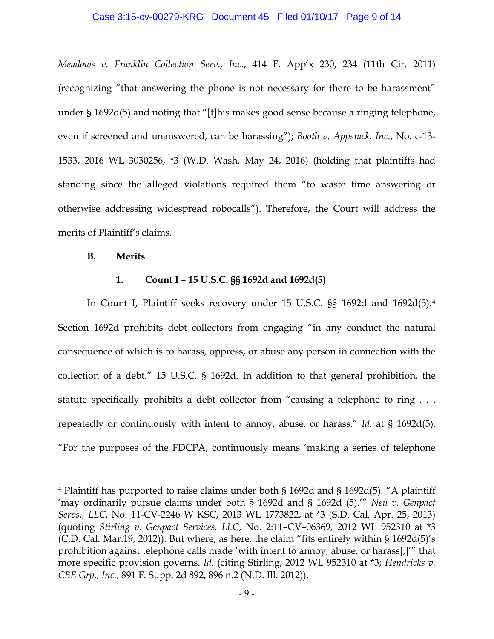#### Case 3:15-cv-00279-KRG Document 45 Filed 01/10/17 Page 9 of 14

*Meadows v. Franklin Collection Serv., Inc.*, 414 F. App'x 230, 234 (11th Cir. 2011) (recognizing "that answering the phone is not necessary for there to be harassment" under § 1692d(5) and noting that "[t]his makes good sense because a ringing telephone, even if screened and unanswered, can be harassing"); *Booth v. Appstack, Inc.*, No. c-13- 1533, 2016 WL 3030256, \*3 (W.D. Wash. May 24, 2016) (holding that plaintiffs had standing since the alleged violations required them "to waste time answering or otherwise addressing widespread robocalls"). Therefore, the Court will address the merits of Plaintiff's claims.

#### **B. Merits**

 $\overline{a}$ 

### **1. Count I – 15 U.S.C. §§ 1692d and 1692d(5)**

In Count I, Plaintiff seeks recovery under 15 U.S.C. §§ 1692d and 1692d(5).[4](#page-8-0) Section 1692d prohibits debt collectors from engaging "in any conduct the natural consequence of which is to harass, oppress, or abuse any person in connection with the collection of a debt." 15 U.S.C. § 1692d. In addition to that general prohibition, the statute specifically prohibits a debt collector from "causing a telephone to ring . . . repeatedly or continuously with intent to annoy, abuse, or harass." *Id.* at § 1692d(5). "For the purposes of the FDCPA, continuously means 'making a series of telephone

<span id="page-8-0"></span><sup>4</sup> Plaintiff has purported to raise claims under both § 1692d and § 1692d(5). "A plaintiff 'may ordinarily pursue claims under both § 1692d and § 1692d (5).'" *Neu v. Genpact Servs., LLC*, No. 11-CV-2246 W KSC, 2013 WL 1773822, at \*3 (S.D. Cal. Apr. 25, 2013) (quoting *Stirling v. Genpact Services, LLC*, No. 2:11–CV–06369, 2012 WL 952310 at \*3 (C.D. Cal. Mar.19, 2012)). But where, as here, the claim "fits entirely within  $\S 1692d(5)'s$ prohibition against telephone calls made 'with intent to annoy, abuse, or harass[,]'" that more specific provision governs. *Id.* (citing Stirling, 2012 WL 952310 at \*3; *Hendricks v. CBE Grp., Inc.*, 891 F. Supp. 2d 892, 896 n.2 (N.D. Ill. 2012)).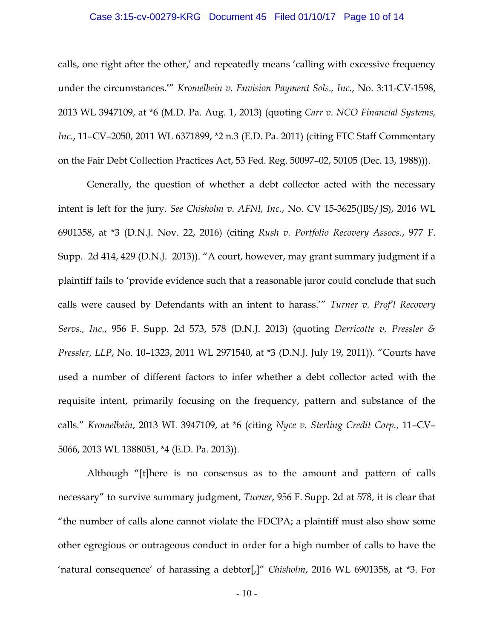#### Case 3:15-cv-00279-KRG Document 45 Filed 01/10/17 Page 10 of 14

calls, one right after the other,' and repeatedly means 'calling with excessive frequency under the circumstances.'" *Kromelbein v. Envision Payment Sols., Inc.*, No. 3:11-CV-1598, 2013 WL 3947109, at \*6 (M.D. Pa. Aug. 1, 2013) (quoting *Carr v. NCO Financial Systems, Inc.*, 11–CV–2050, 2011 WL 6371899, \*2 n.3 (E.D. Pa. 2011) (citing FTC Staff Commentary on the Fair Debt Collection Practices Act, 53 Fed. Reg. 50097–02, 50105 (Dec. 13, 1988))).

Generally, the question of whether a debt collector acted with the necessary intent is left for the jury. *See Chisholm v. AFNI, Inc.*, No. CV 15-3625(JBS/JS), 2016 WL 6901358, at \*3 (D.N.J. Nov. 22, 2016) (citing *Rush v. Portfolio Recovery Assocs.*, 977 F. Supp. 2d 414, 429 (D.N.J. 2013)). "A court, however, may grant summary judgment if a plaintiff fails to 'provide evidence such that a reasonable juror could conclude that such calls were caused by Defendants with an intent to harass.'" *Turner v. Prof'l Recovery Servs., Inc.*, 956 F. Supp. 2d 573, 578 (D.N.J. 2013) (quoting *Derricotte v. Pressler & Pressler, LLP*, No. 10–1323, 2011 WL 2971540, at \*3 (D.N.J. July 19, 2011)). "Courts have used a number of different factors to infer whether a debt collector acted with the requisite intent, primarily focusing on the frequency, pattern and substance of the calls." *Kromelbein*, 2013 WL 3947109, at \*6 (citing *Nyce v. Sterling Credit Corp.*, 11–CV– 5066, 2013 WL 1388051, \*4 (E.D. Pa. 2013)).

Although "[t]here is no consensus as to the amount and pattern of calls necessary" to survive summary judgment, *Turner*, 956 F. Supp. 2d at 578, it is clear that "the number of calls alone cannot violate the FDCPA; a plaintiff must also show some other egregious or outrageous conduct in order for a high number of calls to have the 'natural consequence' of harassing a debtor[,]" *Chisholm*, 2016 WL 6901358, at \*3. For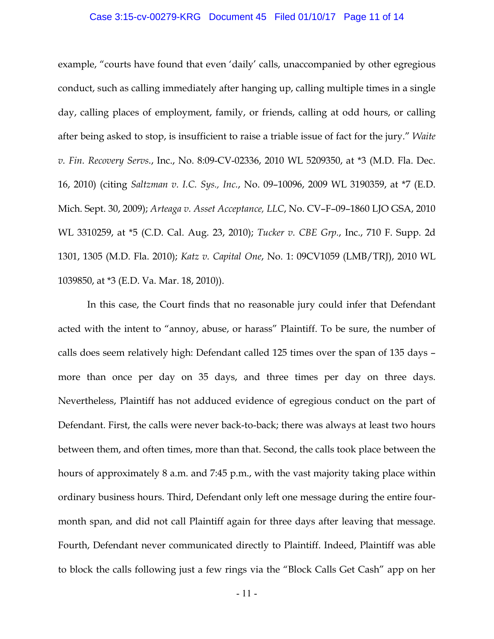#### Case 3:15-cv-00279-KRG Document 45 Filed 01/10/17 Page 11 of 14

example, "courts have found that even 'daily' calls, unaccompanied by other egregious conduct, such as calling immediately after hanging up, calling multiple times in a single day, calling places of employment, family, or friends, calling at odd hours, or calling after being asked to stop, is insufficient to raise a triable issue of fact for the jury." *Waite v. Fin. Recovery Servs.*, Inc., No. 8:09-CV-02336, 2010 WL 5209350, at \*3 (M.D. Fla. Dec. 16, 2010) (citing *Saltzman v. I.C. Sys., Inc.*, No. 09–10096, 2009 WL 3190359, at \*7 (E.D. Mich. Sept. 30, 2009); *Arteaga v. Asset Acceptance, LLC*, No. CV–F–09–1860 LJO GSA, 2010 WL 3310259, at \*5 (C.D. Cal. Aug. 23, 2010); *Tucker v. CBE Grp.*, Inc., 710 F. Supp. 2d 1301, 1305 (M.D. Fla. 2010); *Katz v. Capital One*, No. 1: 09CV1059 (LMB/TRJ), 2010 WL 1039850, at \*3 (E.D. Va. Mar. 18, 2010)).

In this case, the Court finds that no reasonable jury could infer that Defendant acted with the intent to "annoy, abuse, or harass" Plaintiff. To be sure, the number of calls does seem relatively high: Defendant called 125 times over the span of 135 days – more than once per day on 35 days, and three times per day on three days. Nevertheless, Plaintiff has not adduced evidence of egregious conduct on the part of Defendant. First, the calls were never back-to-back; there was always at least two hours between them, and often times, more than that. Second, the calls took place between the hours of approximately 8 a.m. and 7:45 p.m., with the vast majority taking place within ordinary business hours. Third, Defendant only left one message during the entire fourmonth span, and did not call Plaintiff again for three days after leaving that message. Fourth, Defendant never communicated directly to Plaintiff. Indeed, Plaintiff was able to block the calls following just a few rings via the "Block Calls Get Cash" app on her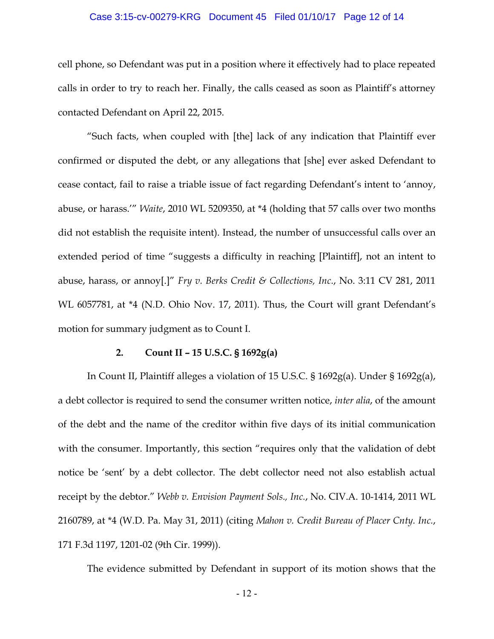#### Case 3:15-cv-00279-KRG Document 45 Filed 01/10/17 Page 12 of 14

cell phone, so Defendant was put in a position where it effectively had to place repeated calls in order to try to reach her. Finally, the calls ceased as soon as Plaintiff's attorney contacted Defendant on April 22, 2015.

"Such facts, when coupled with [the] lack of any indication that Plaintiff ever confirmed or disputed the debt, or any allegations that [she] ever asked Defendant to cease contact, fail to raise a triable issue of fact regarding Defendant's intent to 'annoy, abuse, or harass.'" *Waite*, 2010 WL 5209350, at \*4 (holding that 57 calls over two months did not establish the requisite intent). Instead, the number of unsuccessful calls over an extended period of time "suggests a difficulty in reaching [Plaintiff], not an intent to abuse, harass, or annoy[.]" *Fry v. Berks Credit & Collections, Inc.*, No. 3:11 CV 281, 2011 WL 6057781, at \*4 (N.D. Ohio Nov. 17, 2011). Thus, the Court will grant Defendant's motion for summary judgment as to Count I.

### **2. Count II – 15 U.S.C. § 1692g(a)**

In Count II, Plaintiff alleges a violation of 15 U.S.C. § 1692g(a). Under § 1692g(a), a debt collector is required to send the consumer written notice, *inter alia*, of the amount of the debt and the name of the creditor within five days of its initial communication with the consumer. Importantly, this section "requires only that the validation of debt notice be 'sent' by a debt collector. The debt collector need not also establish actual receipt by the debtor." *Webb v. Envision Payment Sols., Inc.*, No. CIV.A. 10-1414, 2011 WL 2160789, at \*4 (W.D. Pa. May 31, 2011) (citing *Mahon v. Credit Bureau of Placer Cnty. Inc.*, 171 F.3d 1197, 1201-02 (9th Cir. 1999)).

The evidence submitted by Defendant in support of its motion shows that the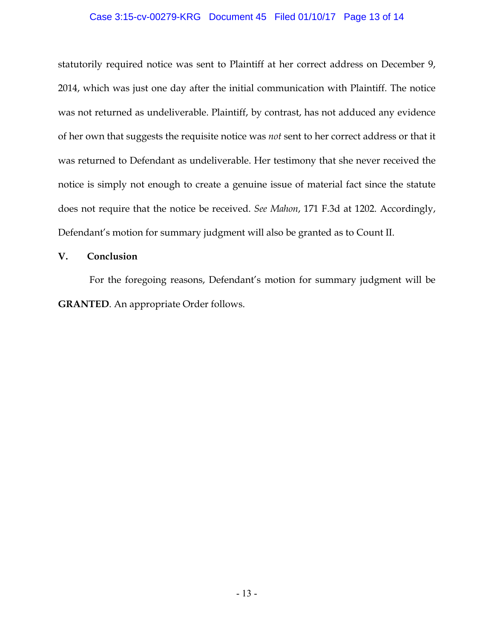### Case 3:15-cv-00279-KRG Document 45 Filed 01/10/17 Page 13 of 14

statutorily required notice was sent to Plaintiff at her correct address on December 9, 2014, which was just one day after the initial communication with Plaintiff. The notice was not returned as undeliverable. Plaintiff, by contrast, has not adduced any evidence of her own that suggests the requisite notice was *not* sent to her correct address or that it was returned to Defendant as undeliverable. Her testimony that she never received the notice is simply not enough to create a genuine issue of material fact since the statute does not require that the notice be received. *See Mahon*, 171 F.3d at 1202. Accordingly, Defendant's motion for summary judgment will also be granted as to Count II.

### **V. Conclusion**

For the foregoing reasons, Defendant's motion for summary judgment will be **GRANTED**. An appropriate Order follows.